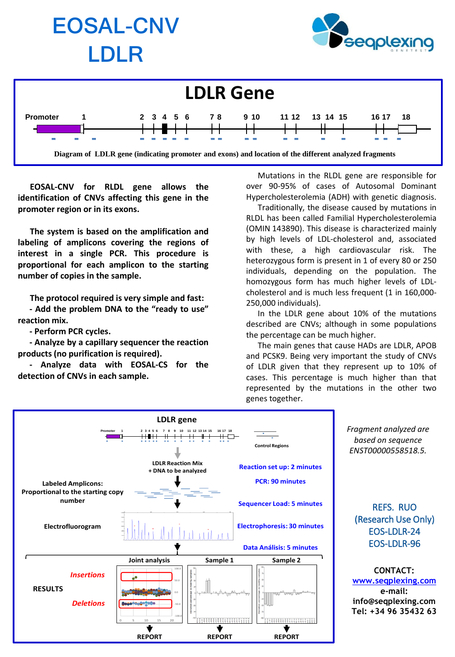

**EOSAL-CNV for RLDL gene allows the identification of CNVs affecting this gene in the promoter region or in its exons.**

**The system is based on the amplification and labeling of amplicons covering the regions of interest in a single PCR. This procedure is proportional for each amplicon to the starting number of copies in the sample.**

**The protocol required is very simple and fast:**

**- Add the problem DNA to the "ready to use" reaction mix.**

**- Perform PCR cycles.**

**- Analyze by a capillary sequencer the reaction products (no purification is required).**

**- Analyze data with EOSAL-CS for the detection of CNVs in each sample.**

Mutations in the RLDL gene are responsible for over 90-95% of cases of Autosomal Dominant Hypercholesterolemia (ADH) with genetic diagnosis.

Traditionally, the disease caused by mutations in RLDL has been called Familial Hypercholesterolemia (OMIN 143890). This disease is characterized mainly by high levels of LDL-cholesterol and, associated with these, a high cardiovascular risk. The heterozygous form is present in 1 of every 80 or 250 individuals, depending on the population. The homozygous form has much higher levels of LDLcholesterol and is much less frequent (1 in 160,000- 250,000 individuals).

In the LDLR gene about 10% of the mutations described are CNVs; although in some populations the percentage can be much higher.

The main genes that cause HADs are LDLR, APOB and PCSK9. Being very important the study of CNVs of LDLR given that they represent up to 10% of cases. This percentage is much higher than that represented by the mutations in the other two genes together.



*Fragment analyzed are based on sequence ENST00000558518.5.*

REFS. RUO (Research Use Only) EOS-LDLR-24 EOS-LDLR-96

**CONTACT: [www.seqplexing.com](http://www.seqplexing.com/) e-mail: info@seqplexing.com Tel: +34 96 35432 63**